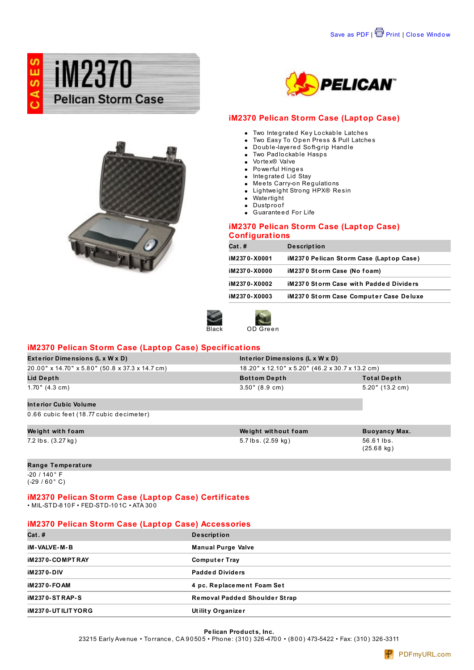



# **iM2370 Pelican Storm Case (Laptop Case)**

- Two Integrated Key Lockable Latches
- Two Easy To Open Press & Pull Latches  $\bullet$
- Double-laye red Soft-grip Handle
- $\bullet$  Two Pad lockable Hasps
- Vo rte x® Valve • Powerful Hinges
- Integrated Lid Stay
- Meets Carry-on Regulations
- Lightweight Strong HPX® Resin
- Wate rtig ht
- Dustproof

 $OD$  Green

 $\bullet$  Guarante ed For Life

### **iM2370 Pelican Storm Case (Laptop Case) Configurations**

| $Cat.$ #     | <b>Description</b>                            |
|--------------|-----------------------------------------------|
| iM2370-X0001 | iM2370 Pelican Storm Case (Laptop Case)       |
| iM2370-X0000 | iM2370 Storm Case (No foam)                   |
| iM2370-X0002 | <b>iM2370 Storm Case with Padded Dividers</b> |
| iM2370-X0003 | iM2370 Storm Case Computer Case Deluxe        |
|              |                                               |



## **iM2370 Pelican Storm Case (Laptop Case) Specifications**

| Exterior Dimensions (L x W x D)                 | Interior Dimensions (L x W x D)                 |                                    |
|-------------------------------------------------|-------------------------------------------------|------------------------------------|
| 20.00" x 14.70" x 5.80" (50.8 x 37.3 x 14.7 cm) | 18.20" x 12.10" x 5.20" (46.2 x 30.7 x 13.2 cm) |                                    |
| Lid Depth                                       | <b>Bottom Depth</b>                             | <b>Total Depth</b>                 |
| $1.70$ " (4.3 cm)                               | $3.50$ " (8.9 cm)                               | $5.20$ " (13.2 cm)                 |
| Interior Cubic Volume                           |                                                 |                                    |
| 0.66 cubic feet (18.77 cubic decimeter)         |                                                 |                                    |
| Weight with foam                                | Weight without foam                             | <b>Buoyancy Max.</b>               |
| 7.2 lbs. (3.27 kg)                              | $5.7$ lbs. $(2.59 \text{ kg})$                  | 56.61 lbs.<br>$(25.68 \text{ kg})$ |

#### **Range Te mpe rat ure**

 $-20/140°$  F  $(-29/60° C)$ 

## **iM2370 Pelican Storm Case (Laptop Case) Certificates**

• MIL-STD-810F • FED-STD-101C • ATA 300

### **iM2370 Pelican Storm Case (Laptop Case) Accessories**

| $Cat.$ #                 | <b>Description</b>                   |
|--------------------------|--------------------------------------|
| iM-VALVE-M-B             | <b>Manual Purge Valve</b>            |
| iM2370-COMPTRAY          | <b>Computer Tray</b>                 |
| iM2370-DIV               | <b>Padded Dividers</b>               |
| iM2370-FOAM              | 4 pc. Replacement Foam Set           |
| <b>iM2370-STRAP-S</b>    | <b>Removal Padded Shoulder Strap</b> |
| <b>iM2370-UTILITYORG</b> | <b>Utility Organizer</b>             |